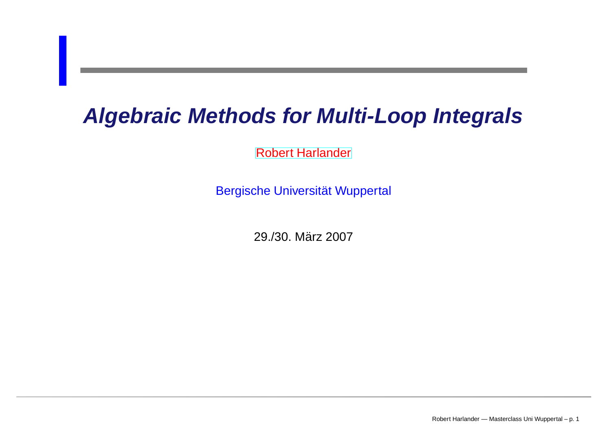## **Algebraic Methods for Multi-Loop Integrals**

[Robert](http://www.robert-harlander.de/) Harlander

Bergische Universität Wuppertal

29./30. März 2007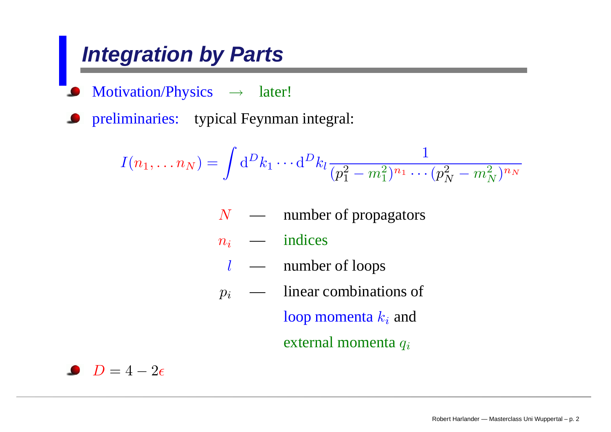## **Integration by Parts**

Motivation/Physics  $\rightarrow$  later!

preliminaries: typical Feynman integral:

$$
I(n_1, \ldots n_N) = \int \mathrm{d}^D k_1 \cdots \mathrm{d}^D k_l \frac{1}{(p_1^2 - m_1^2)^{n_1} \cdots (p_N^2 - m_N^2)^{n_N}}
$$

- $N \longrightarrow$  number of propagators
- $n_i$  — indices
	- l $l \quad \longrightarrow \quad$  number of loops
- $p_i$  linear combinations of

loop momenta  $k_i$  and

external momenta  $q_{\it i}$ 

 $D=4-2\epsilon$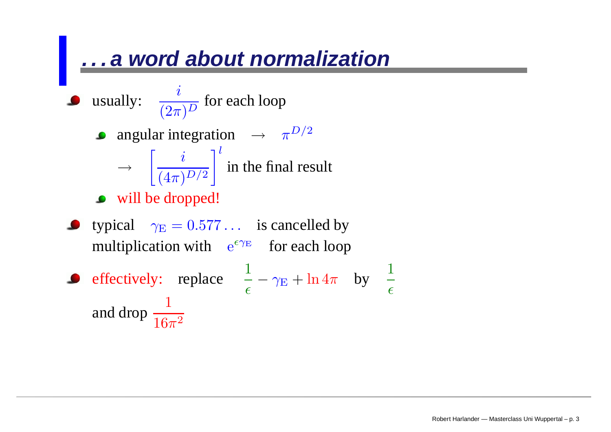#### **. . . a word about normalization**

\n- usually: 
$$
\frac{i}{(2\pi)^D}
$$
 for each loop
\n- angular integration  $\rightarrow \pi^{D/2}$
\n- √  $\left[\frac{i}{(4\pi)^{D/2}}\right]^l$  in the final result
\n- ∴ will be dropped!
\n- typical  $\gamma_E = 0.577...$  is cancelled by multiplication with  $e^{\epsilon \gamma_E}$  for each loop
\n- ∘ effectively: replace  $\frac{1}{\epsilon} - \gamma_E + \ln 4\pi$  by  $\frac{1}{\epsilon}$  and drop  $\frac{1}{16\pi^2}$
\n

 $\epsilon$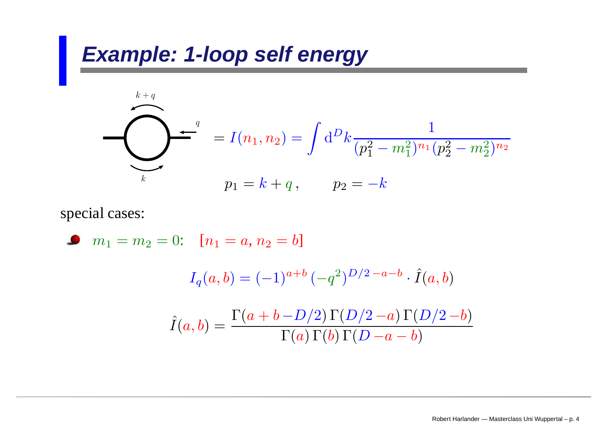$$
\sum_{k=q}^{k+q} f(n_1, n_2) = \int d^D k \frac{1}{(p_1^2 - m_1^2)^{n_1} (p_2^2 - m_2^2)^{n_2}}
$$
  

$$
p_1 = k + q, \qquad p_2 = -k
$$

special cases:

• 
$$
m_1 = m_2 = 0
$$
:  $[n_1 = a, n_2 = b]$   
\n
$$
I_q(a, b) = (-1)^{a+b} (-q^2)^{D/2 - a - b} \cdot \hat{I}(a, b)
$$
\n
$$
\hat{I}(a, b) = \frac{\Gamma(a + b - D/2) \Gamma(D/2 - a) \Gamma(D/2 - b)}{\Gamma(a) \Gamma(b) \Gamma(D - a - b)}
$$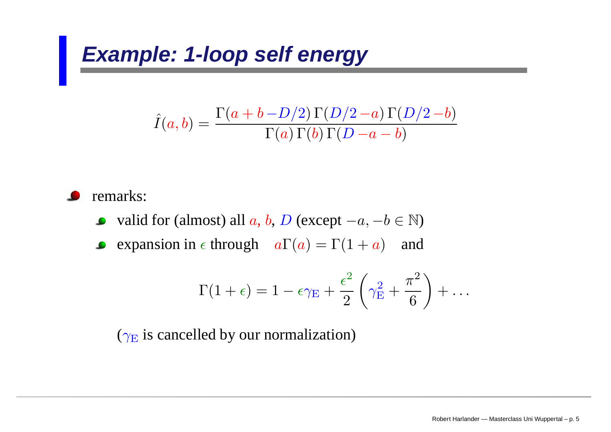$$
\hat{I}(a,b) = \frac{\Gamma(a+b-D/2)\Gamma(D/2-a)\Gamma(D/2-b)}{\Gamma(a)\Gamma(b)\Gamma(D-a-b)}
$$

remarks:

- valid for (almost) all  $a,$   $b,$   $D$  (except  $-a,$   $-b$   $\in$   $\mathbb{N})$  $\bullet$
- **expansion in**  $\epsilon$  through  $a\Gamma(a) = \Gamma(1 + a)$  and

$$
\Gamma(1+\epsilon)=1-\epsilon\gamma_E+\frac{\epsilon^2}{2}\left(\gamma_E^2+\frac{\pi^2}{6}\right)+\ldots
$$

 $(\gamma_{\rm E}$  is cancelled by our normalization)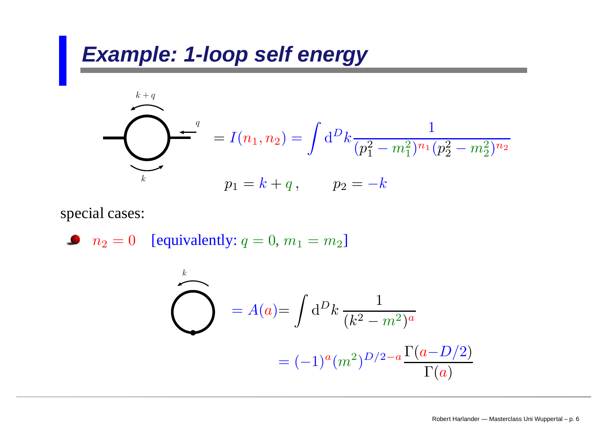$$
\sum_{k=q}^{k+q} f(n_1, n_2) = \int d^D k \frac{1}{(p_1^2 - m_1^2)^{n_1} (p_2^2 - m_2^2)^{n_2}}
$$
  

$$
p_1 = k + q, \qquad p_2 = -k
$$

#### special cases:

$$
n_2 = 0 \quad \text{[equivalently: } q = 0, m_1 = m_2\text{]}
$$

$$
\sum_{k=0}^{k} A(a) = \int d^D k \frac{1}{(k^2 - m^2)^a}
$$

$$
= (-1)^a (m^2)^{D/2 - a} \frac{\Gamma(a - D/2)}{\Gamma(a)}
$$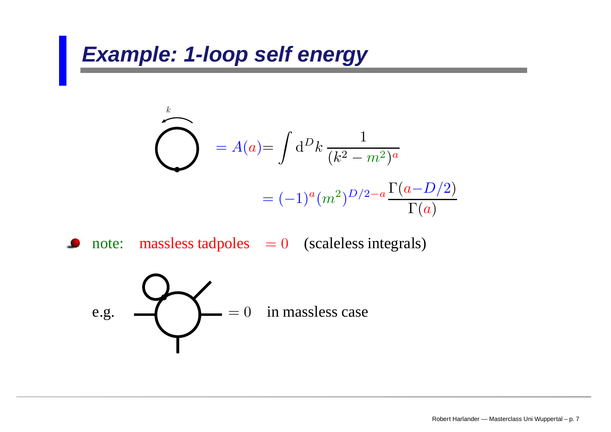$$
\sum_{k=0}^{k} A(a) = \int d^D k \frac{1}{(k^2 - m^2)^a}
$$

$$
= (-1)^a (m^2)^{D/2 - a} \frac{\Gamma(a - D/2)}{\Gamma(a)}
$$

note: massless tadpoles <sup>=</sup> 0 (scaleless integrals)

e.g. 
$$
e^{-\frac{1}{2}(\cos(\theta))} = 0
$$
 in massless case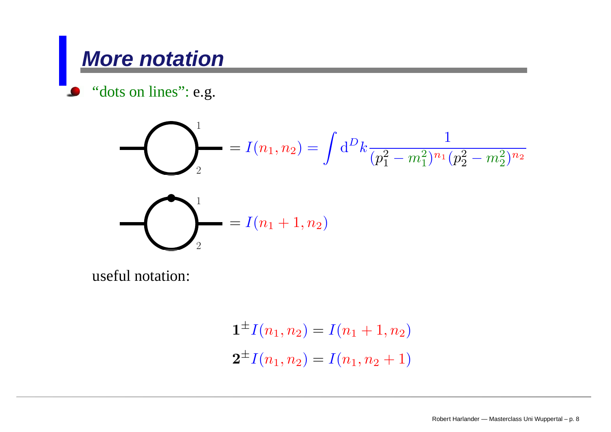### **More notation**

"dots on lines": e.g.

$$
\sum_{2}^{1} = I(n_1, n_2) = \int d^D k \frac{1}{(p_1^2 - m_1^2)^{n_1} (p_2^2 - m_2^2)^{n_2}}
$$

$$
= I(n_1 + 1, n_2)
$$

useful notation:

$$
\mathbf{1}^{\pm}I(n_1, n_2) = I(n_1 + 1, n_2)
$$
  

$$
\mathbf{2}^{\pm}I(n_1, n_2) = I(n_1, n_2 + 1)
$$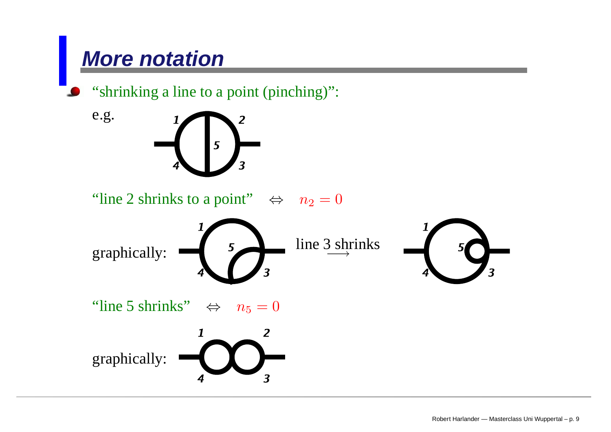## **More notation**

"shrinking a line to a point (pinching)":

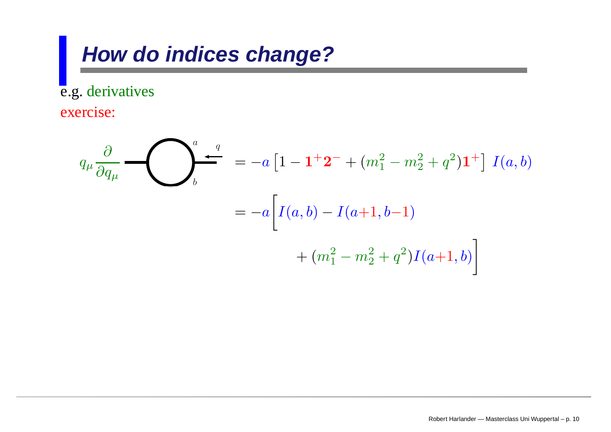## **How do indices change?**

e.g. derivatives exercise:

$$
q_{\mu} \frac{\partial}{\partial q_{\mu}} \leftarrow \left\{ \sum_{b}^{a} \frac{q}{\sigma_{a}} \right\} = -a \left[ 1 - \mathbf{1}^{+} \mathbf{2}^{-} + (m_{1}^{2} - m_{2}^{2} + q^{2}) \mathbf{1}^{+} \right] I(a, b)
$$

$$
= -a \left[ I(a, b) - I(a+1, b-1) + (m_{1}^{2} - m_{2}^{2} + q^{2}) I(a+1, b) \right]
$$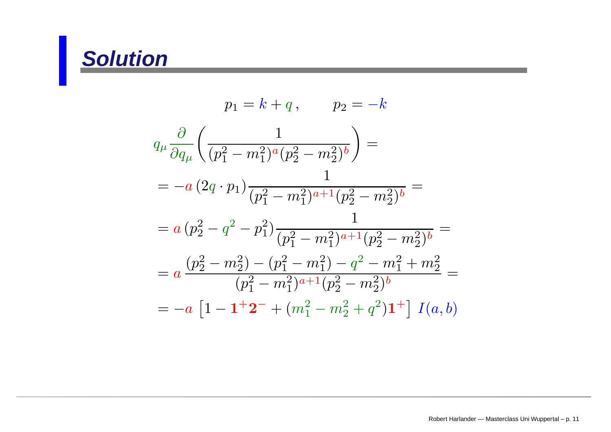## **Solution**

$$
p_1 = k + q, \qquad p_2 = -k
$$
  
\n
$$
q_{\mu} \frac{\partial}{\partial q_{\mu}} \left( \frac{1}{(p_1^2 - m_1^2)^a (p_2^2 - m_2^2)^b} \right) =
$$
  
\n
$$
= -a (2q \cdot p_1) \frac{1}{(p_1^2 - m_1^2)^{a+1} (p_2^2 - m_2^2)^b} =
$$
  
\n
$$
= a (p_2^2 - q^2 - p_1^2) \frac{1}{(p_1^2 - m_1^2)^{a+1} (p_2^2 - m_2^2)^b} =
$$
  
\n
$$
= a \frac{(p_2^2 - m_2^2) - (p_1^2 - m_1^2) - q^2 - m_1^2 + m_2^2}{(p_1^2 - m_1^2)^{a+1} (p_2^2 - m_2^2)^b} =
$$
  
\n
$$
= -a [1 - 1 + 2^- + (m_1^2 - m_2^2 + q^2) 1^+] I(a, b)
$$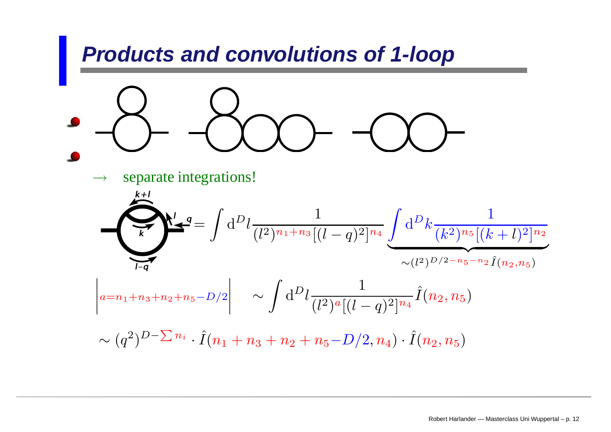### **Products and convolutions of 1-loop**

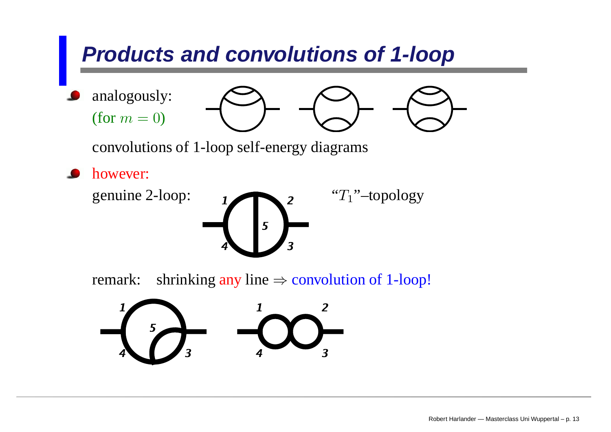## **Products and convolutions of 1-loop**

analogously: (for  $m = 0$ )



convolutions of 1-loop self-energy diagrams

however:  $\bullet$ 



remark:shrinking any line  $\Rightarrow$  convolution of 1-loop!

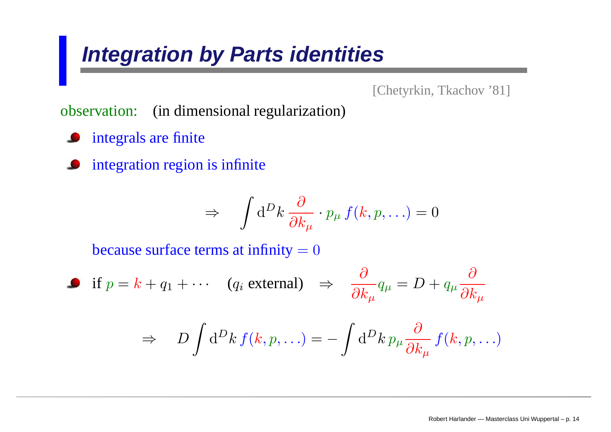## **Integration by Parts identities**

[Chetyrkin, Tkachov '81]

observation: (in dimensional regularization)

- **•** integrals are finite
- **•** integration region is infinite

$$
\Rightarrow \quad \int \mathrm{d}^D k \, \frac{\partial}{\partial k_\mu} \cdot p_\mu \, f(k, p, \ldots) = 0
$$

because surface terms at infinity  $= 0$ 

• if 
$$
p = k + q_1 + \cdots
$$
 ( $q_i$  external)  $\Rightarrow \frac{\partial}{\partial k_\mu} q_\mu = D + q_\mu \frac{\partial}{\partial k_\mu}$   
 $\Rightarrow D \int d^D k f(k, p, \ldots) = - \int d^D k p_\mu \frac{\partial}{\partial k_\mu} f(k, p, \ldots)$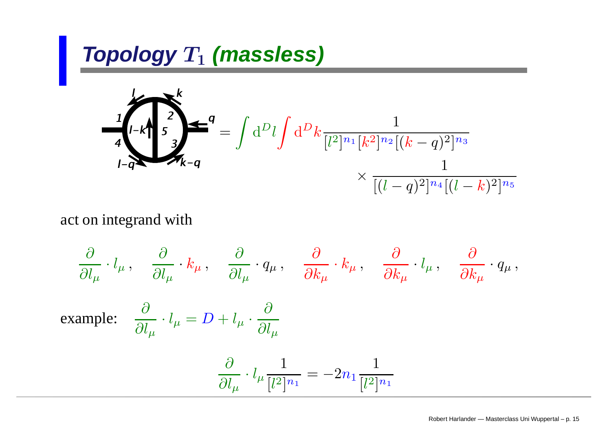$$
\frac{1}{4} \int_{l-R}^{l-R} \frac{1}{s^3} \sum_{k=q}^{k} = \int d^D l \int d^D k \frac{1}{[l^2]^{n_1} [k^2]^{n_2} [(k-q)^2]^{n_3}} \times \frac{1}{[(l-q)^2]^{n_4} [(l-k)^2]^{n_5}}
$$

act on integrand with

$$
\frac{\partial}{\partial l_{\mu}} \cdot l_{\mu} , \quad \frac{\partial}{\partial l_{\mu}} \cdot k_{\mu} , \quad \frac{\partial}{\partial l_{\mu}} \cdot q_{\mu} , \quad \frac{\partial}{\partial k_{\mu}} \cdot k_{\mu} , \quad \frac{\partial}{\partial k_{\mu}} \cdot l_{\mu} , \quad \frac{\partial}{\partial k_{\mu}} \cdot q_{\mu} ,
$$
  
example: 
$$
\frac{\partial}{\partial l_{\mu}} \cdot l_{\mu} = D + l_{\mu} \cdot \frac{\partial}{\partial l_{\mu}}
$$

$$
\frac{\partial}{\partial l_{\mu}} \cdot l_{\mu} \frac{1}{[l^{2}]^{n_{1}}} = -2n_{1} \frac{1}{[l^{2}]^{n_{1}}}
$$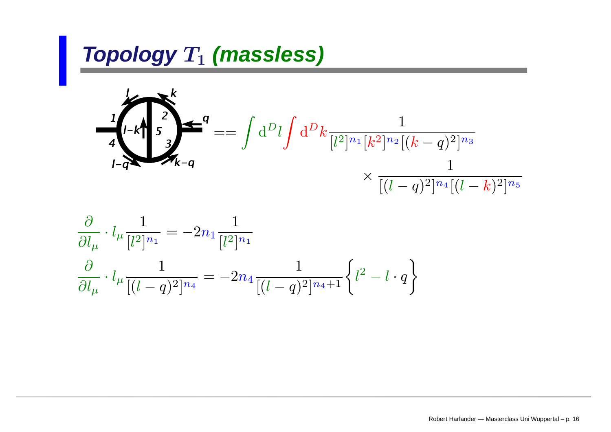$$
4\int_{l-q}^{l-k} \frac{1}{s} \int_{k-q}^{2} = \int d^D l \int d^D k \frac{1}{[l^2]^{n_1} [k^2]^{n_2} [(k-q)^2]^{n_3}} \times \frac{1}{[(l-q)^2]^{n_4} [(l-k)^2]^{n_5}}
$$

$$
\frac{\partial}{\partial l_{\mu}} \cdot l_{\mu} \frac{1}{[l^2]^{n_1}} = -2n_1 \frac{1}{[l^2]^{n_1}}
$$

$$
\frac{\partial}{\partial l_{\mu}} \cdot l_{\mu} \frac{1}{[(l-q)^2]^{n_4}} = -2n_4 \frac{1}{[(l-q)^2]^{n_4+1}} \left\{ l^2 - l \cdot q \right\}
$$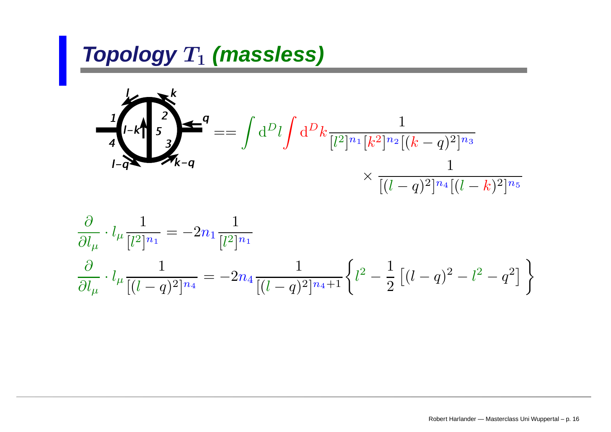$$
4\int_{l-q}^{l-k} \frac{1}{s} \int_{k-q}^{2} = \int d^D l \int d^D k \frac{1}{[l^2]^{n_1} [k^2]^{n_2} [(k-q)^2]^{n_3}} \times \frac{1}{[(l-q)^2]^{n_4} [(l-k)^2]^{n_5}}
$$

$$
\frac{\partial}{\partial l_{\mu}} \cdot l_{\mu} \frac{1}{[l^2]^{n_1}} = -2n_1 \frac{1}{[l^2]^{n_1}}
$$
  

$$
\frac{\partial}{\partial l_{\mu}} \cdot l_{\mu} \frac{1}{[(l-q)^2]^{n_4}} = -2n_4 \frac{1}{[(l-q)^2]^{n_4+1}} \left\{ l^2 - \frac{1}{2} \left[ (l-q)^2 - l^2 - q^2 \right] \right\}
$$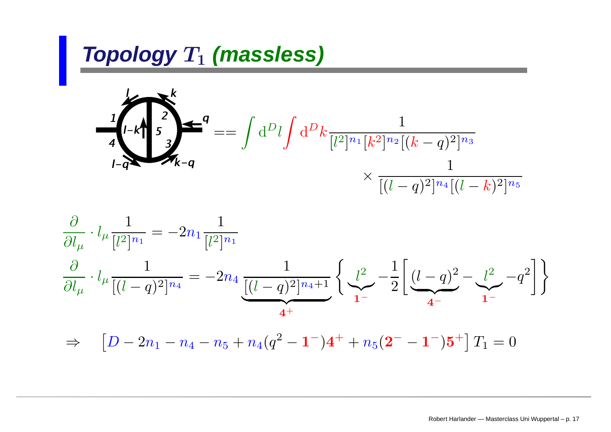$$
4\int_{l-q}^{l-k} \frac{1}{s} \int_{k-q}^{2} = \int d^D l \int d^D k \frac{1}{[l^2]^{n_1} [k^2]^{n_2} [(k-q)^2]^{n_3}} \times \frac{1}{[(l-q)^2]^{n_4} [(l-k)^2]^{n_5}}
$$

$$
\frac{\partial}{\partial l_{\mu}} \cdot l_{\mu} \frac{1}{[l^2]^{n_1}} = -2n_1 \frac{1}{[l^2]^{n_1}}
$$

$$
\frac{\partial}{\partial l_{\mu}} \cdot l_{\mu} \frac{1}{[(l-q)^2]^{n_4}} = -2n_4 \underbrace{\frac{1}{[(l-q)^2]^{n_4+1}} \left\{ \underbrace{l^2}_{1^-} - \frac{1}{2} \left[ \underbrace{(l-q)^2}_{4^-} - \underbrace{l^2}_{4^-} - q^2 \right] \right\}
$$

 $\Rightarrow \quad \left[ D - 2{n_1} - {n_4} - {n_5} + {n_4}({q^2} - {{\bf 1}}^-){{\bf 4}}^+ + {n_5}({{\bf 2}}^- - {{\bf 1}}^-){{\bf 5}}^+ \right]T_1 = 0$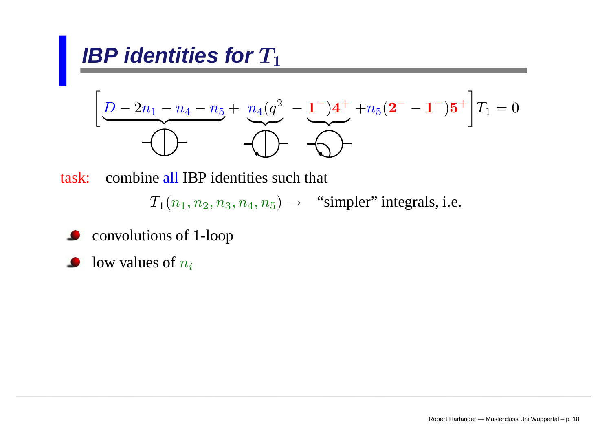**IBP identities for** 
$$
T_1
$$
  
\n
$$
\left[ \underbrace{D - 2n_1 - n_4 - n_5}_{\text{max}} + \underbrace{n_4(q^2 - 1^-)4^+}_{\text{max}} + n_5(2^- - 1^-)5^+ \right] T_1 = 0
$$

task:: combine all IBP identities such that

 $T_1(n_1, n_2, n_3, n_4, n_5) \rightarrow$  "simpler" integrals, i.e.

- convolutions of 1-loop
- low values of  $n_i$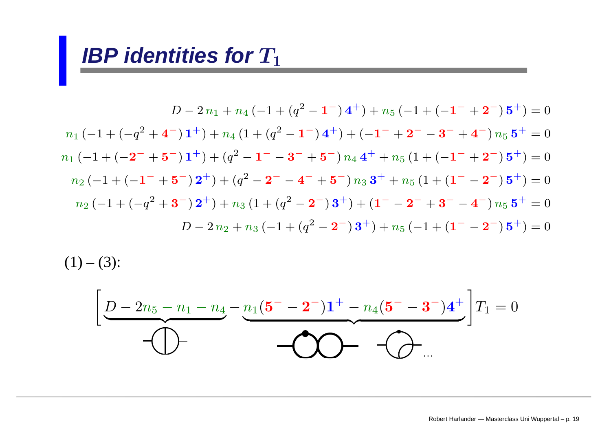#### **IBP** identities for  $T_1$

$$
D - 2n_1 + n_4 \left(-1 + (q^2 - 1) \cdot 4^+\right) + n_5 \left(-1 + \left(-1^{-} + 2^{-}\right) \cdot 5^+\right) = 0
$$
  
\n
$$
n_1 \left(-1 + \left(-q^2 + 4^{-}\right) \cdot 1^+\right) + n_4 \left(1 + \left(q^2 - 1^{-}\right) \cdot 4^+\right) + \left(-1^{-} + 2^{-} - 3^{-} + 4^{-}\right) n_5 \cdot 5^+\right) = 0
$$
  
\n
$$
n_1 \left(-1 + \left(-2^{-} + 5^{-}\right) \cdot 1^+\right) + \left(q^2 - 1^{-} - 3^{-} + 5^{-}\right) n_4 \cdot 4^+\right) + n_5 \left(1 + \left(-1^{-} + 2^{-}\right) \cdot 5^+\right) = 0
$$
  
\n
$$
n_2 \left(-1 + \left(-1^{-} + 5^{-}\right) \cdot 2^+\right) + \left(q^2 - 2^{-} - 4^{-} + 5^{-}\right) n_3 \cdot 3^+\right) + n_5 \left(1 + \left(1^{-} - 2^{-}\right) \cdot 5^+\right) = 0
$$
  
\n
$$
n_2 \left(-1 + \left(-q^2 + 3^{-}\right) \cdot 2^+\right) + n_3 \left(1 + \left(q^2 - 2^{-}\right) \cdot 3^+\right) + \left(1^{-} - 2^{-} + 3^{-} - 4^{-}\right) n_5 \cdot 5^+\right) = 0
$$
  
\n
$$
D - 2n_2 + n_3 \left(-1 + \left(q^2 - 2^{-}\right) \cdot 3^+\right) + n_5 \left(-1 + \left(1^{-} - 2^{-}\right) \cdot 5^+\right) = 0
$$

 $(1) - (3)$ :

$$
\left[\frac{D-2n_5-n_1-n_4-n_1(5^{--}-2^{-})1^{+}-n_4(5^{--}-3^{-})4^{+}}{-1^{--}-1}\right]T_1=0
$$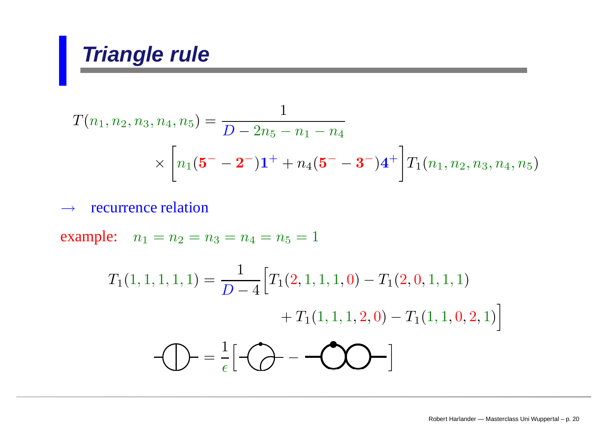## **Triangle rule**

$$
T(n_1, n_2, n_3, n_4, n_5) = \frac{1}{D - 2n_5 - n_1 - n_4}
$$
  
 
$$
\times \left[ n_1 (\mathbf{5}^{-} - \mathbf{2}^{-}) \mathbf{1}^{+} + n_4 (\mathbf{5}^{-} - \mathbf{3}^{-}) \mathbf{4}^{+} \right] T_1(n_1, n_2, n_3, n_4, n_5)
$$

#### $\rightarrow$ recurrence relation

example:  $n_1 = n_2 = n_3 = n_4 = n_5 = 1$ 

$$
T_1(1,1,1,1,1) = \frac{1}{D-4} \Big[ T_1(2,1,1,1,0) - T_1(2,0,1,1,1) + T_1(1,1,1,2,0) - T_1(1,1,0,2,1) \Big]
$$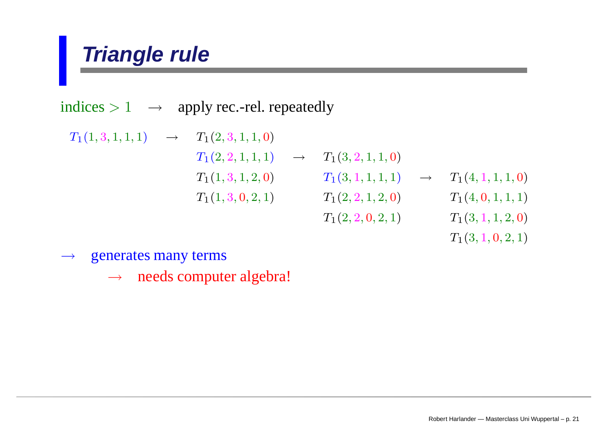## **Triangle rule**

indices  $> 1 \rightarrow \text{ apply rec. -rel. repeatedly}$ 

 $T_1(1, 3, 1, 1, 1) \rightarrow T_1(2, 3, 1, 1, 0)$  $T_1(2, 2, 1, 1, 1) \rightarrow T_1(3, 2, 1, 1, 0)$  $T_1(1, 3, 1, 2, 0)$   $T_1(3, 1, 1, 1, 1)$   $\rightarrow$   $T_1(4, 1, 1, 1, 0)$  $T_1(1, 3, 0, 2, 1)$   $T_1(2, 2, 1, 2, 0)$   $T_1(4, 0, 1, 1, 1)$  $T_1(2, 2, 0, 2, 1)$   $T_1(3, 1, 1, 2, 0)$ 

 $T_1(3, 1, 0, 2, 1)$ 

 $\longrightarrow$ generates many terms

> →needs computer algebra!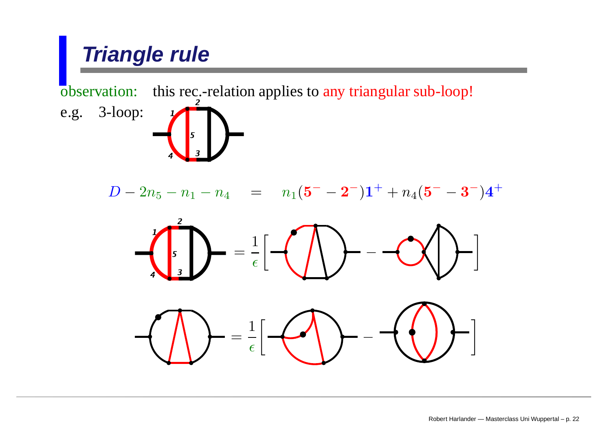# **Triangle rule** observation: this rec.-relation applies to any triangular sub-loop! e.g. 3-loop:  $D-2n_5-n_1-n_4 \quad = \quad n_1({\bf 5^-}-{\bf 2^-}){\bf 1^+} + n_4({\bf 5^-}-{\bf 3^-}){\bf 4^+}$ = 1  $\frac{1}{\epsilon}[-( \bigwedge \}$   $--\bigotimes$   $]$   $-$ = 1  $\epsilon$  $\frac{1}{\epsilon}$   $\left[\leftarrow\left\langle \left\langle \right\rangle \right\rangle -\left\langle \left\langle \left\langle \right\rangle \right\rangle \right\rangle \right]$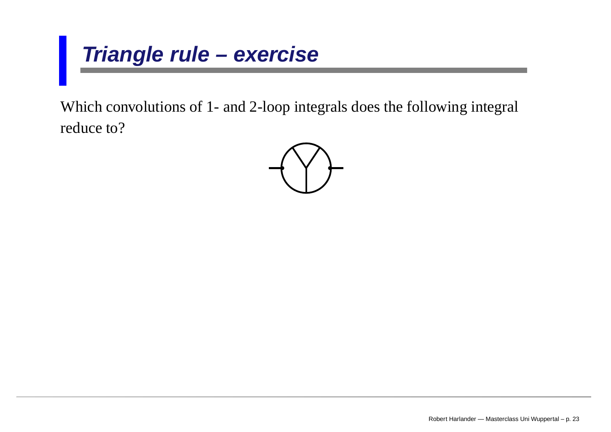## **Triangle rule – exercise**

Which convolutions of 1- and 2-loop integrals does the following integral reduce to?

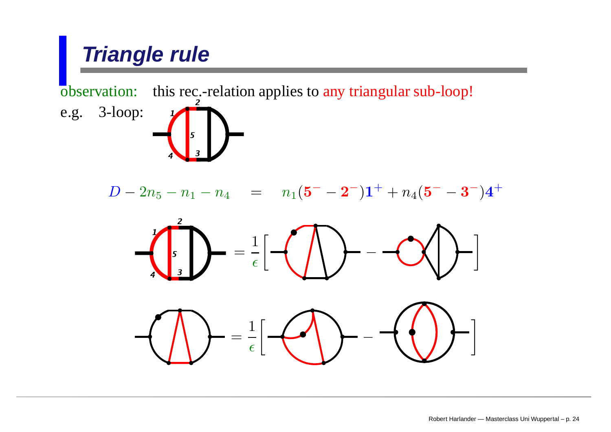# **Triangle rule** observation: this rec.-relation applies to any triangular sub-loop! e.g. 3-loop:  $D-2n_5-n_1-n_4 \quad = \quad n_1({\bf 5^-}-{\bf 2^-}){\bf 1^+} + n_4({\bf 5^-}-{\bf 3^-}){\bf 4^+}$ = 1  $\frac{1}{\epsilon}[-( \bigwedge \}$   $--\bigotimes$   $]$   $-$ = 1  $\epsilon$  $\frac{1}{\epsilon}$   $\left[\leftarrow\left\langle \left\langle \right\rangle \right\rangle -\left\langle \left\langle \left\langle \right\rangle \right\rangle \right\rangle \right]$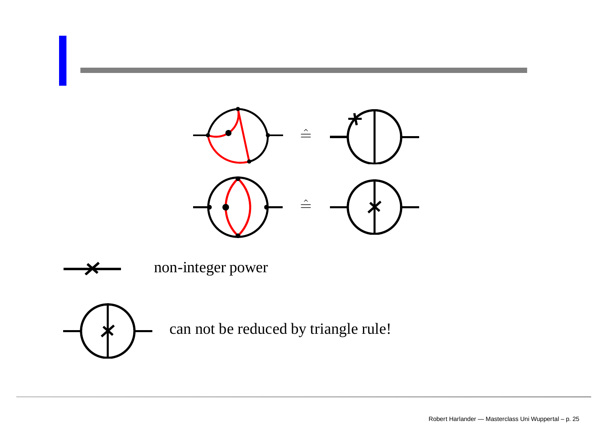



non-integer power



can not be reduced by triangle rule!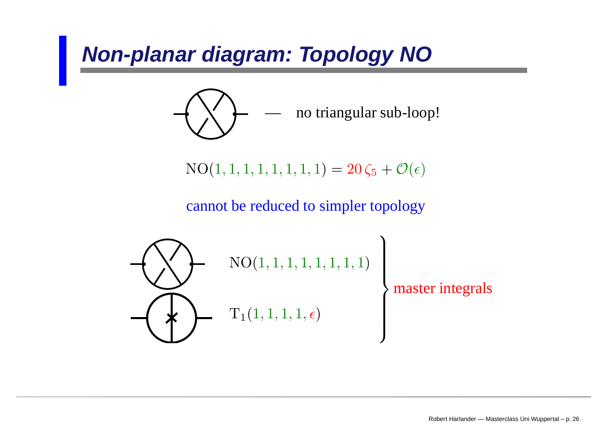## **Non-planar diagram: Topology NO**



$$
NO(1, 1, 1, 1, 1, 1, 1, 1) = 20\zeta_5 + \mathcal{O}(\epsilon)
$$

cannot be reduced to simpler topology

$$
\left\{\left(\begin{matrix} \text{NO}(1,1,1,1,1,1,1,1,1)\\ \text{NO}(1,1,1,1,1,1,1,1)\end{matrix}\right)\right\}
$$
master integrals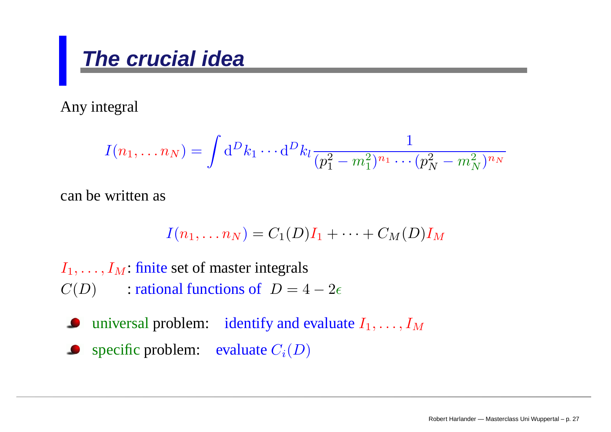## **The crucial idea**

Any integral

$$
I(n_1, \ldots n_N) = \int \mathrm{d}^D k_1 \cdots \mathrm{d}^D k_l \frac{1}{(p_1^2 - m_1^2)^{n_1} \cdots (p_N^2 - m_N^2)^{n_N}}
$$

can be written as

$$
I(n_1,\ldots n_N)=C_1(D)I_1+\cdots+C_M(D)I_M
$$

 $I_1, \ldots, I_M$ : finite set of master integrals  $C(D)$  : rational functions of  $D = 4 - 2\epsilon$ 

universal problem: identify and evaluate  $I_1, \ldots, I_M$ 

**•** specific problem: evaluate  $C_i(D)$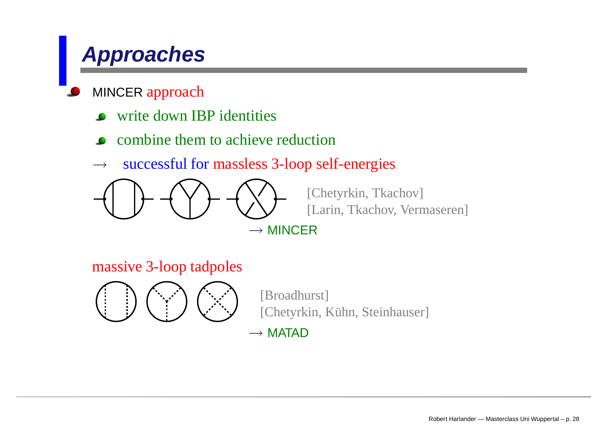## **Approaches**

#### MINCER approach

- write down IBP identities
- combine them to achieve reduction
- $\longrightarrow$ successful for massless 3-loop self-energies



[Chetyrkin, Tkachov] [Larin, Tkachov, Vermaseren]

massive 3-loop tadpoles



[Broadhurst] [Chetyrkin, Kühn, Steinhauser]

 $\rightarrow$  Matad